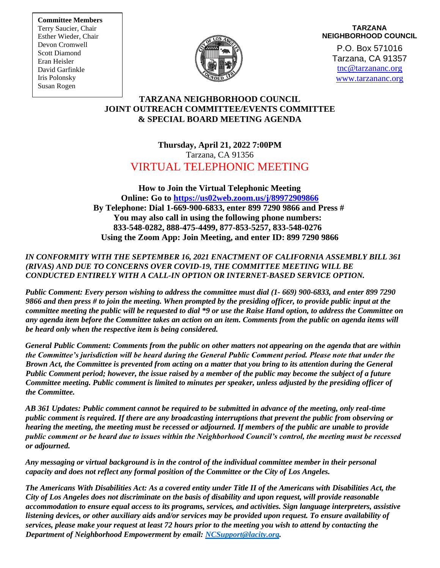**Committee Members** Terry Saucier, Chair Esther Wieder, Chair Devon Cromwell Scott Diamond Eran Heisler David Garfinkle Iris Polonsky Susan Rogen



# **TARZANA NEIGHBORHOOD COUNCIL**

P.O. Box 571016 Tarzana, CA 91357 [tnc@tarzananc.org](mailto:tnc@tarzananc.org) [www.tarzananc.org](http://www.tarzananc.org/)

## **TARZANA NEIGHBORHOOD COUNCIL JOINT OUTREACH COMMITTEE/EVENTS COMMITTEE & SPECIAL BOARD MEETING AGENDA**

# **Thursday, April 21, 2022 7:00PM** Tarzana, CA 91356 VIRTUAL TELEPHONIC MEETING

**How to Join the Virtual Telephonic Meeting Online: Go to<https://us02web.zoom.us/j/89972909866> By Telephone: Dial 1-669-900-6833, enter 899 7290 9866 and Press # You may also call in using the following phone numbers: 833-548-0282, 888-475-4499, 877-853-5257, 833-548-0276 Using the Zoom App: Join Meeting, and enter ID: 899 7290 9866**

#### *IN CONFORMITY WITH THE SEPTEMBER 16, 2021 ENACTMENT OF CALIFORNIA ASSEMBLY BILL 361 (RIVAS) AND DUE TO CONCERNS OVER COVID-19, THE COMMITTEE MEETING WILL BE CONDUCTED ENTIRELY WITH A CALL-IN OPTION OR INTERNET-BASED SERVICE OPTION.*

*Public Comment: Every person wishing to address the committee must dial (1- 669) 900-6833, and enter 899 7290 9866 and then press # to join the meeting. When prompted by the presiding officer, to provide public input at the committee meeting the public will be requested to dial \*9 or use the Raise Hand option, to address the Committee on any agenda item before the Committee takes an action on an item. Comments from the public on agenda items will be heard only when the respective item is being considered.*

*General Public Comment: Comments from the public on other matters not appearing on the agenda that are within the Committee's jurisdiction will be heard during the General Public Comment period. Please note that under the Brown Act, the Committee is prevented from acting on a matter that you bring to its attention during the General Public Comment period; however, the issue raised by a member of the public may become the subject of a future Committee meeting. Public comment is limited to minutes per speaker, unless adjusted by the presiding officer of the Committee.*

*AB 361 Updates: Public comment cannot be required to be submitted in advance of the meeting, only real-time public comment is required. If there are any broadcasting interruptions that prevent the public from observing or hearing the meeting, the meeting must be recessed or adjourned. If members of the public are unable to provide public comment or be heard due to issues within the Neighborhood Council's control, the meeting must be recessed or adjourned.*

*Any messaging or virtual background is in the control of the individual committee member in their personal capacity and does not reflect any formal position of the Committee or the City of Los Angeles.*

*The Americans With Disabilities Act: As a covered entity under Title II of the Americans with Disabilities Act, the City of Los Angeles does not discriminate on the basis of disability and upon request, will provide reasonable accommodation to ensure equal access to its programs, services, and activities. Sign language interpreters, assistive listening devices, or other auxiliary aids and/or services may be provided upon request. To ensure availability of services, please make your request at least 72 hours prior to the meeting you wish to attend by contacting the Department of Neighborhood Empowerment by email[: NCSupport@lacity.org.](mailto:NCSupport@lacity.org)*